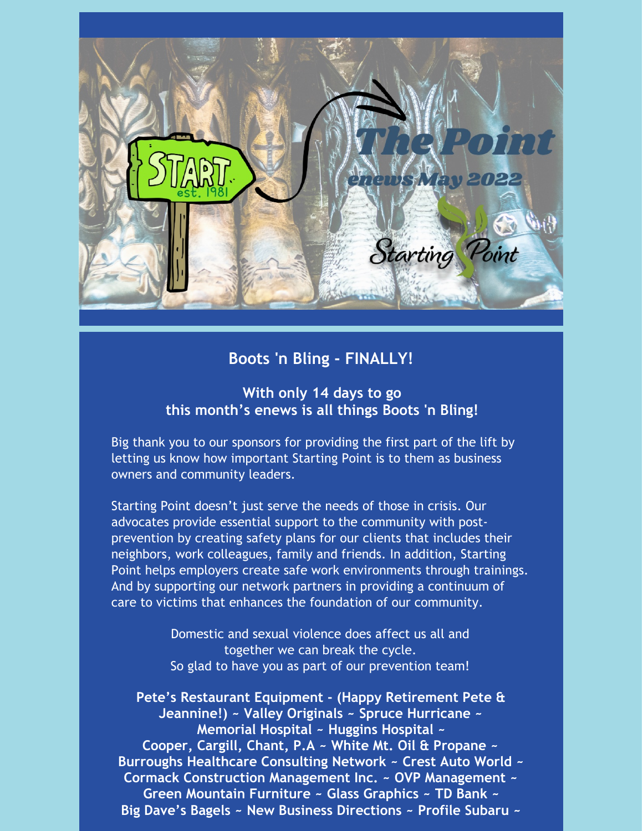

# **Boots 'n Bling - FINALLY!**

## **With only 14 days to go this month's enews is all things Boots 'n Bling!**

Big thank you to our sponsors for providing the first part of the lift by letting us know how important Starting Point is to them as business owners and community leaders.

Starting Point doesn't just serve the needs of those in crisis. Our advocates provide essential support to the community with postprevention by creating safety plans for our clients that includes their neighbors, work colleagues, family and friends. In addition, Starting Point helps employers create safe work environments through trainings. And by supporting our network partners in providing a continuum of care to victims that enhances the foundation of our community.

> Domestic and sexual violence does affect us all and together we can break the cycle. So glad to have you as part of our prevention team!

**Pete's Restaurant Equipment - (Happy Retirement Pete & Jeannine!) ~ Valley Originals ~ Spruce Hurricane ~ Memorial Hospital ~ Huggins Hospital ~ Cooper, Cargill, Chant, P.A ~ White Mt. Oil & Propane ~ Burroughs Healthcare Consulting Network ~ Crest Auto World ~ Cormack Construction Management Inc. ~ OVP Management ~ Green Mountain Furniture ~ Glass Graphics ~ TD Bank ~ Big Dave's Bagels ~ New Business Directions ~ Profile Subaru ~**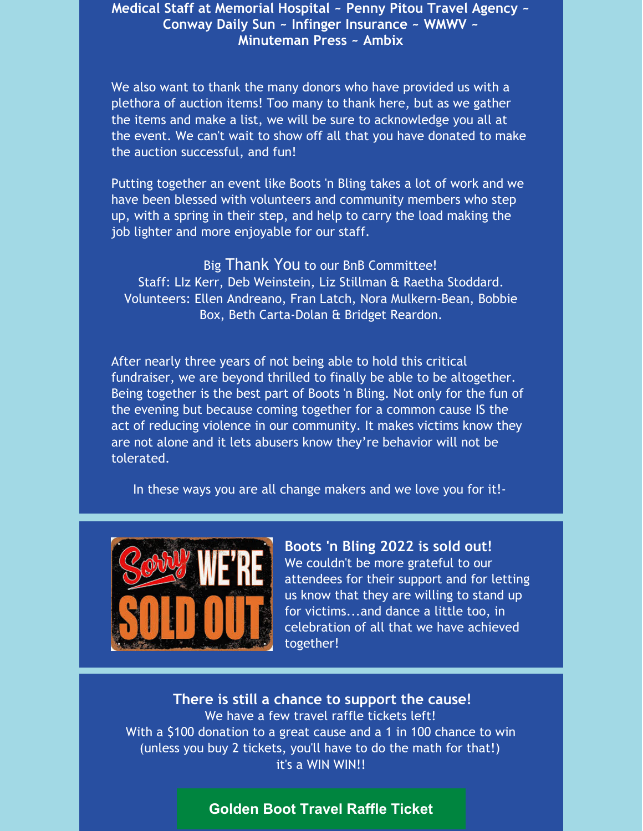### **Medical Staff at Memorial Hospital ~ Penny Pitou Travel Agency ~ Conway Daily Sun ~ Infinger Insurance ~ WMWV ~ Minuteman Press ~ Ambix**

We also want to thank the many donors who have provided us with a plethora of auction items! Too many to thank here, but as we gather the items and make a list, we will be sure to acknowledge you all at the event. We can't wait to show off all that you have donated to make the auction successful, and fun!

Putting together an event like Boots 'n Bling takes a lot of work and we have been blessed with volunteers and community members who step up, with a spring in their step, and help to carry the load making the job lighter and more enjoyable for our staff.

Big Thank You to our BnB Committee! Staff: LIz Kerr, Deb Weinstein, Liz Stillman & Raetha Stoddard. Volunteers: Ellen Andreano, Fran Latch, Nora Mulkern-Bean, Bobbie Box, Beth Carta-Dolan & Bridget Reardon.

After nearly three years of not being able to hold this critical fundraiser, we are beyond thrilled to finally be able to be altogether. Being together is the best part of Boots 'n Bling. Not only for the fun of the evening but because coming together for a common cause IS the act of reducing violence in our community. It makes victims know they are not alone and it lets abusers know they're behavior will not be tolerated.

In these ways you are all change makers and we love you for it!-



**Boots 'n Bling 2022 is sold out!** We couldn't be more grateful to our attendees for their support and for letting us know that they are willing to stand up for victims...and dance a little too, in celebration of all that we have achieved together!

**There is still a chance to support the cause!** We have a few travel raffle tickets left! With a \$100 donation to a great cause and a 1 in 100 chance to win (unless you buy 2 tickets, you'll have to do the math for that!) it's a WIN WIN!!

#### **[Golden](https://startingpointnh.ejoinme.org/MyEvents/2022BootsnBling/RegistrationTicketandTables/tabid/1275675/Default.aspx) Boot Travel Raffle Ticket**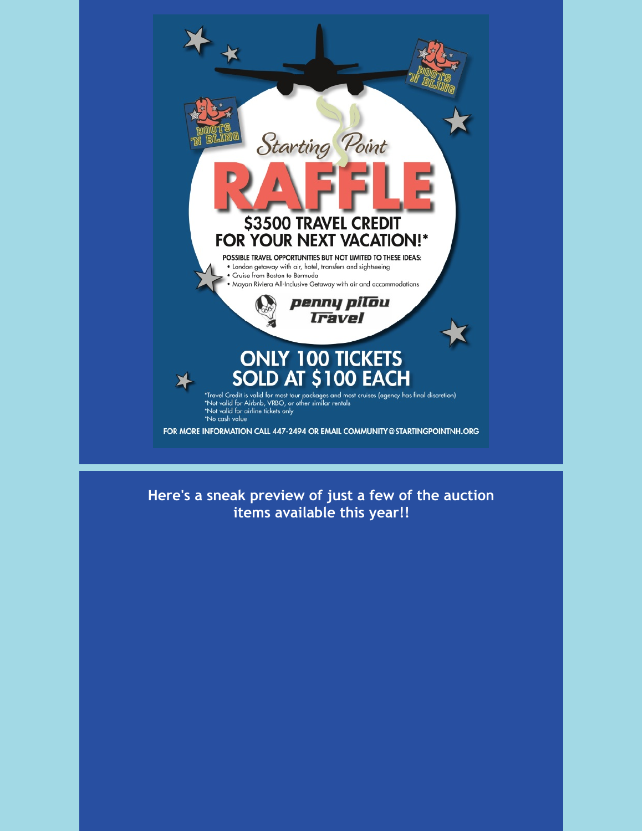

**Here's a sneak preview of just a few of the auction items available this year!!**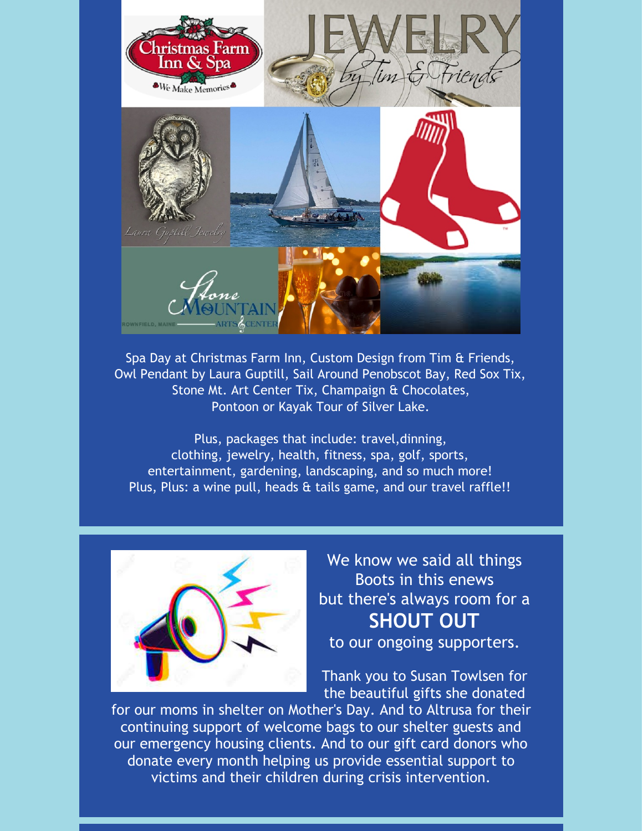

Spa Day at Christmas Farm Inn, Custom Design from Tim & Friends, Owl Pendant by Laura Guptill, Sail Around Penobscot Bay, Red Sox Tix, Stone Mt. Art Center Tix, Champaign & Chocolates, Pontoon or Kayak Tour of Silver Lake.

Plus, packages that include: travel,dinning, clothing, jewelry, health, fitness, spa, golf, sports, entertainment, gardening, landscaping, and so much more! Plus, Plus: a wine pull, heads & tails game, and our travel raffle!!



We know we said all things Boots in this enews but there's always room for a **SHOUT OUT**

to our ongoing supporters.

Thank you to Susan Towlsen for the beautiful gifts she donated

for our moms in shelter on Mother's Day. And to Altrusa for their continuing support of welcome bags to our shelter guests and our emergency housing clients. And to our gift card donors who donate every month helping us provide essential support to victims and their children during crisis intervention.